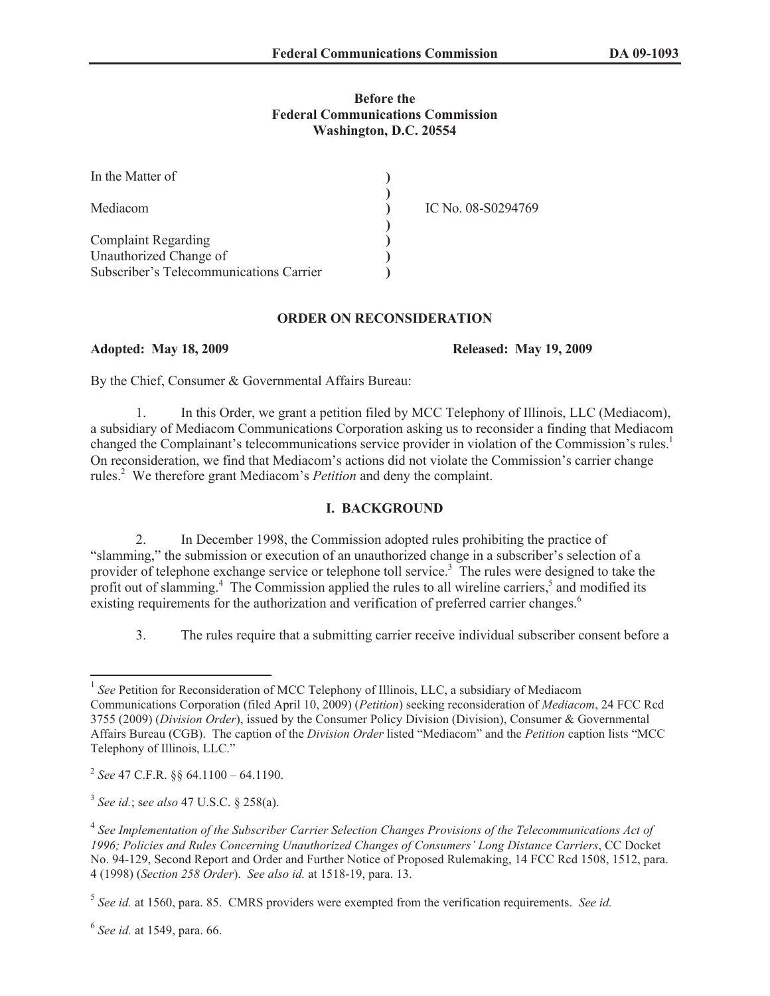#### **Before the Federal Communications Commission Washington, D.C. 20554**

| In the Matter of                        |                    |
|-----------------------------------------|--------------------|
| Mediacom                                | IC No. 08-S0294769 |
| <b>Complaint Regarding</b>              |                    |
| Unauthorized Change of                  |                    |
| Subscriber's Telecommunications Carrier |                    |

#### **ORDER ON RECONSIDERATION**

### **Adopted: May 18, 2009 Released: May 19, 2009**

By the Chief, Consumer & Governmental Affairs Bureau:

1. In this Order, we grant a petition filed by MCC Telephony of Illinois, LLC (Mediacom), a subsidiary of Mediacom Communications Corporation asking us to reconsider a finding that Mediacom changed the Complainant's telecommunications service provider in violation of the Commission's rules.<sup>1</sup> On reconsideration, we find that Mediacom's actions did not violate the Commission's carrier change rules.<sup>2</sup> We therefore grant Mediacom's *Petition* and deny the complaint.

# **I. BACKGROUND**

2. In December 1998, the Commission adopted rules prohibiting the practice of "slamming," the submission or execution of an unauthorized change in a subscriber's selection of a provider of telephone exchange service or telephone toll service.<sup>3</sup> The rules were designed to take the profit out of slamming.<sup>4</sup> The Commission applied the rules to all wireline carriers,<sup>5</sup> and modified its existing requirements for the authorization and verification of preferred carrier changes.<sup>6</sup>

3. The rules require that a submitting carrier receive individual subscriber consent before a

<sup>1</sup> *See* Petition for Reconsideration of MCC Telephony of Illinois, LLC, a subsidiary of Mediacom Communications Corporation (filed April 10, 2009) (*Petition*) seeking reconsideration of *Mediacom*, 24 FCC Rcd 3755 (2009) (*Division Order*), issued by the Consumer Policy Division (Division), Consumer & Governmental Affairs Bureau (CGB). The caption of the *Division Order* listed "Mediacom" and the *Petition* caption lists "MCC Telephony of Illinois, LLC."

<sup>2</sup> *See* 47 C.F.R. §§ 64.1100 – 64.1190.

<sup>3</sup> *See id.*; s*ee also* 47 U.S.C. § 258(a).

<sup>&</sup>lt;sup>4</sup> See Implementation of the Subscriber Carrier Selection Changes Provisions of the Telecommunications Act of *1996; Policies and Rules Concerning Unauthorized Changes of Consumers' Long Distance Carriers*, CC Docket No. 94-129, Second Report and Order and Further Notice of Proposed Rulemaking, 14 FCC Rcd 1508, 1512, para. 4 (1998) (*Section 258 Order*). *See also id.* at 1518-19, para. 13.

<sup>5</sup> *See id.* at 1560, para. 85. CMRS providers were exempted from the verification requirements. *See id.*

<sup>6</sup> *See id.* at 1549, para. 66.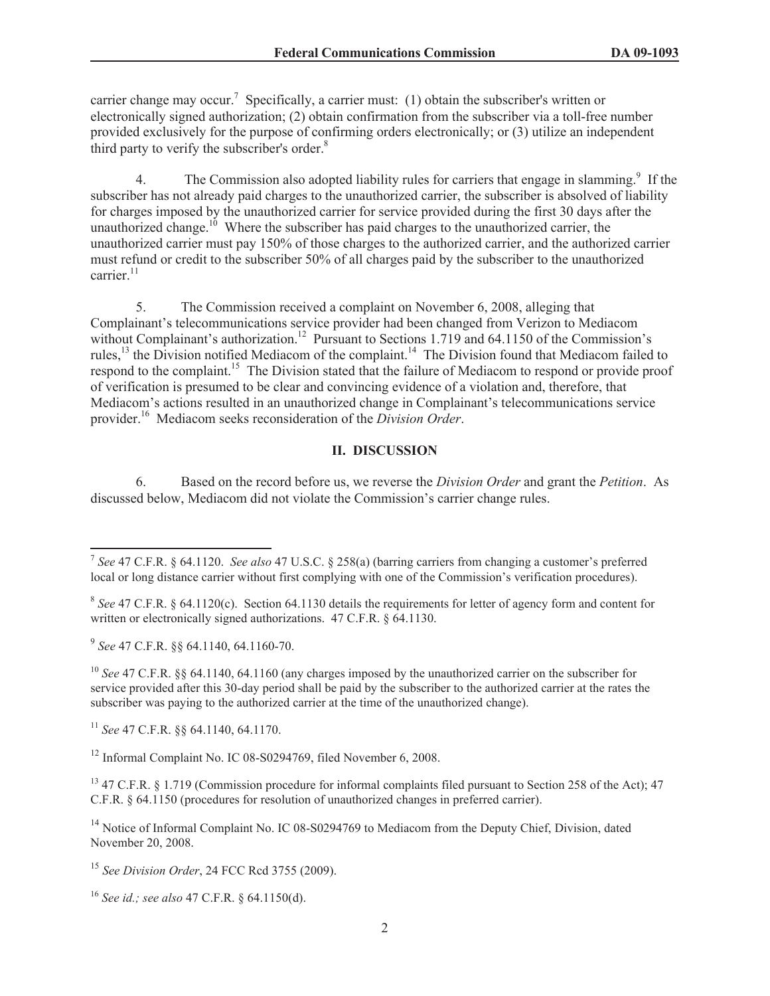carrier change may occur.<sup>7</sup> Specifically, a carrier must: (1) obtain the subscriber's written or electronically signed authorization; (2) obtain confirmation from the subscriber via a toll-free number provided exclusively for the purpose of confirming orders electronically; or (3) utilize an independent third party to verify the subscriber's order.<sup>8</sup>

4. The Commission also adopted liability rules for carriers that engage in slamming.<sup>9</sup> If the subscriber has not already paid charges to the unauthorized carrier, the subscriber is absolved of liability for charges imposed by the unauthorized carrier for service provided during the first 30 days after the unauthorized change.<sup>10</sup> Where the subscriber has paid charges to the unauthorized carrier, the unauthorized carrier must pay 150% of those charges to the authorized carrier, and the authorized carrier must refund or credit to the subscriber 50% of all charges paid by the subscriber to the unauthorized carrier. $11$ 

5. The Commission received a complaint on November 6, 2008, alleging that Complainant's telecommunications service provider had been changed from Verizon to Mediacom without Complainant's authorization.<sup>12</sup> Pursuant to Sections 1.719 and 64.1150 of the Commission's rules,<sup>13</sup> the Division notified Mediacom of the complaint.<sup>14</sup> The Division found that Mediacom failed to respond to the complaint.<sup>15</sup> The Division stated that the failure of Mediacom to respond or provide proof of verification is presumed to be clear and convincing evidence of a violation and, therefore, that Mediacom's actions resulted in an unauthorized change in Complainant's telecommunications service provider.<sup>16</sup> Mediacom seeks reconsideration of the *Division Order*.

# **II. DISCUSSION**

6. Based on the record before us, we reverse the *Division Order* and grant the *Petition*. As discussed below, Mediacom did not violate the Commission's carrier change rules.

9 *See* 47 C.F.R. §§ 64.1140, 64.1160-70.

<sup>10</sup> *See* 47 C.F.R. §§ 64.1140, 64.1160 (any charges imposed by the unauthorized carrier on the subscriber for service provided after this 30-day period shall be paid by the subscriber to the authorized carrier at the rates the subscriber was paying to the authorized carrier at the time of the unauthorized change).

<sup>11</sup> *See* 47 C.F.R. §§ 64.1140, 64.1170.

<sup>12</sup> Informal Complaint No. IC 08-S0294769, filed November 6, 2008.

<sup>13</sup> 47 C.F.R. § 1.719 (Commission procedure for informal complaints filed pursuant to Section 258 of the Act); 47 C.F.R. § 64.1150 (procedures for resolution of unauthorized changes in preferred carrier).

<sup>14</sup> Notice of Informal Complaint No. IC 08-S0294769 to Mediacom from the Deputy Chief, Division, dated November 20, 2008.

<sup>15</sup> *See Division Order*, 24 FCC Rcd 3755 (2009).

<sup>7</sup> *See* 47 C.F.R. § 64.1120. *See also* 47 U.S.C. § 258(a) (barring carriers from changing a customer's preferred local or long distance carrier without first complying with one of the Commission's verification procedures).

<sup>&</sup>lt;sup>8</sup> See 47 C.F.R. § 64.1120(c). Section 64.1130 details the requirements for letter of agency form and content for written or electronically signed authorizations. 47 C.F.R. § 64.1130.

<sup>16</sup> *See id.; see also* 47 C.F.R. § 64.1150(d).